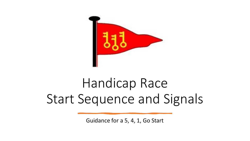

# Handicap Race Start Sequence and Signals

Guidance for a 5, 4, 1, Go Start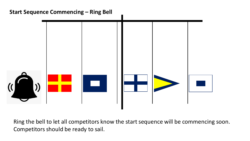## **Start Sequence Commencing – Ring Bell**



Ring the bell to let all competitors know the start sequence will be commencing soon. Competitors should be ready to sail.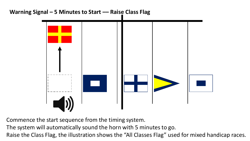## **Warning Signal – 5 Minutes to Start –– Raise Class Flag**



Commence the start sequence from the timing system.

The system will automatically sound the horn with 5 minutes to go.

Raise the Class Flag, the illustration shows the "All Classes Flag" used for mixed handicap races.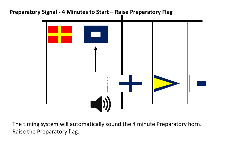#### **Preparatory Signal - 4 Minutes to Start – Raise Preparatory Flag**



The timing system will automatically sound the 4 minute Preparatory horn. Raise the Preparatory flag.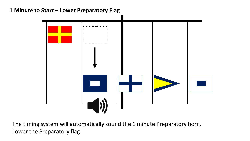## **1 Minute to Start – Lower Preparatory Flag**



The timing system will automatically sound the 1 minute Preparatory horn. Lower the Preparatory flag.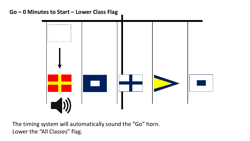# **Go – 0 Minutes to Start – Lower Class Flag**



The timing system will automatically sound the "Go" horn. Lower the "All Classes" flag.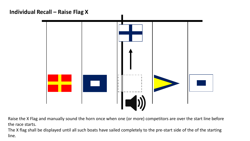## **Individual Recall – Raise Flag X**



Raise the X Flag and manually sound the horn once when one (or more) competitors are over the start line before the race starts.

The X flag shall be displayed until all such boats have sailed completely to the pre-start side of the of the starting line.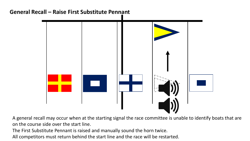

A general recall may occur when at the starting signal the race committee is unable to identify boats that are on the course side over the start line.

The First Substitute Pennant is raised and manually sound the horn twice.

All competitors must return behind the start line and the race will be restarted.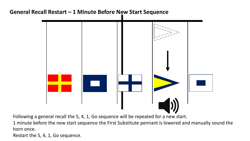## **General Recall Restart – 1 Minute Before New Start Sequence**



Following a general recall the 5, 4, 1, Go sequence will be repeated for a new start.

1 minute before the new start sequence the First Substitute pennant is lowered and manually sound the horn once.

Restart the 5, 4, 1, Go sequence.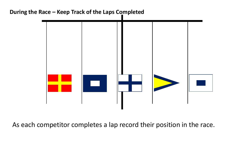#### **During the Race – Keep Track of the Laps Completed**



As each competitor completes a lap record their position in the race.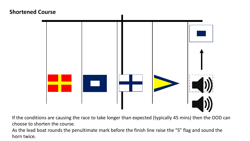#### **Shortened Course**



If the conditions are causing the race to take longer than expected (typically 45 mins) then the OOD can choose to shorten the course.

As the lead boat rounds the penultimate mark before the finish line raise the "S" flag and sound the horn twice.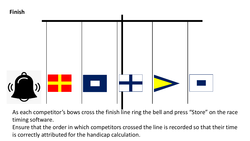# **Finish**



As each competitor's bows cross the finish line ring the bell and press "Store" on the race timing software.

Ensure that the order in which competitors crossed the line is recorded so that their time is correctly attributed for the handicap calculation.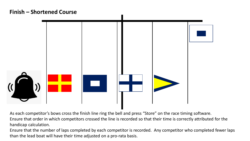## **Finish – Shortened Course**



As each competitor's bows cross the finish line ring the bell and press "Store" on the race timing software. Ensure that order in which competitors crossed the line is recorded so that their time is correctly attributed for the handicap calculation.

Ensure that the number of laps completed by each competitor is recorded. Any competitor who completed fewer laps than the lead boat will have their time adjusted on a pro-rata basis.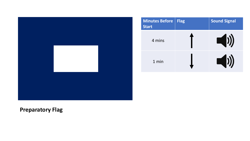



# **Preparatory Flag**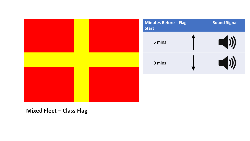| Minutes Before   Flag<br><b>Start</b> | <b>Sound Signal</b>                         |
|---------------------------------------|---------------------------------------------|
| 5 mins                                | $\begin{pmatrix} 1 \\ 0 \end{pmatrix}$      |
| 0 mins                                | $\begin{pmatrix} 1 \\ 0 \\ 0 \end{pmatrix}$ |
|                                       |                                             |

**Mixed Fleet – Class Flag**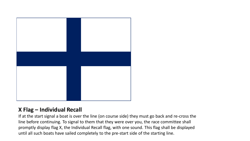

#### **X Flag – Individual Recall**

If at the start signal a boat is over the line (on course side) they must go back and re-cross the line before continuing. To signal to them that they were over you, the race committee shall promptly display flag X, the Individual Recall flag, with one sound. This flag shall be displayed until all such boats have sailed completely to the pre-start side of the starting line.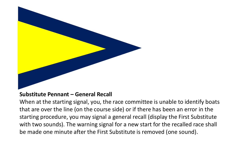

#### **Substitute Pennant – General Recall**

When at the starting signal, you, the race committee is unable to identify boats that are over the line (on the course side) or if there has been an error in the starting procedure, you may signal a general recall (display the First Substitute with two sounds). The warning signal for a new start for the recalled race shall be made one minute after the First Substitute is removed (one sound).